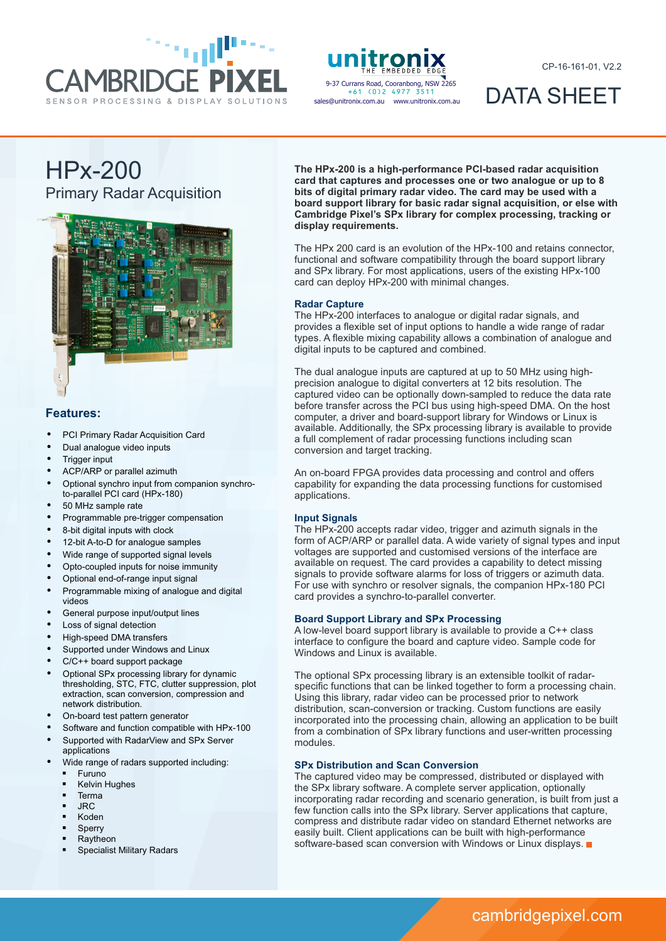



sales@unitronix.com.au www.unitronix.com.au +61 (0)2 4977 3511

CP-16-161-01, V2.2

# DATA SHEET

# HPx-200 Primary Radar Acquisition



### **Features:**

- PCI Primary Radar Acquisition Card
- Dual analogue video inputs
- **Trigger input**
- ACP/ARP or parallel azimuth
- Optional synchro input from companion synchroto-parallel PCI card (HPx-180)
- 50 MHz sample rate
- Programmable pre-trigger compensation
- 8-bit digital inputs with clock
- 12-bit A-to-D for analogue samples
- Wide range of supported signal levels
- Opto-coupled inputs for noise immunity
- Optional end-of-range input signal
- Programmable mixing of analogue and digital videos
- General purpose input/output lines
- Loss of signal detection
- High-speed DMA transfers
- Supported under Windows and Linux
- $C/C++$  board support package
- Optional SPx processing library for dynamic thresholding, STC, FTC, clutter suppression, plot extraction, scan conversion, compression and network distribution.
- On-board test pattern generator
- Software and function compatible with HPx-100
- Supported with RadarView and SPx Server
- applications
- Wide range of radars supported including:
	- § Furuno
	- § Kelvin Hughes § Terma
	-
	- § JRC
	- § Koden
	- **Sperry** § Raytheon
	- § Specialist Military Radars

**The HPx-200 is a high-performance PCI-based radar acquisition card that captures and processes one or two analogue or up to 8 bits of digital primary radar video. The card may be used with a board support library for basic radar signal acquisition, or else with Cambridge Pixel's SPx library for complex processing, tracking or display requirements.**

The HPx 200 card is an evolution of the HPx-100 and retains connector, functional and software compatibility through the board support library and SPx library. For most applications, users of the existing HPx-100 card can deploy HPx-200 with minimal changes.

#### **Radar Capture**

The HPx-200 interfaces to analogue or digital radar signals, and provides a flexible set of input options to handle a wide range of radar types. A flexible mixing capability allows a combination of analogue and digital inputs to be captured and combined.

The dual analogue inputs are captured at up to 50 MHz using highprecision analogue to digital converters at 12 bits resolution. The captured video can be optionally down-sampled to reduce the data rate before transfer across the PCI bus using high-speed DMA. On the host computer, a driver and board-support library for Windows or Linux is available. Additionally, the SPx processing library is available to provide a full complement of radar processing functions including scan conversion and target tracking.

An on-board FPGA provides data processing and control and offers capability for expanding the data processing functions for customised applications.

#### **Input Signals**

The HPx-200 accepts radar video, trigger and azimuth signals in the form of ACP/ARP or parallel data. A wide variety of signal types and input voltages are supported and customised versions of the interface are available on request. The card provides a capability to detect missing signals to provide software alarms for loss of triggers or azimuth data. For use with synchro or resolver signals, the companion HPx-180 PCI card provides a synchro-to-parallel converter.

#### **Board Support Library and SPx Processing**

A low-level board support library is available to provide a C++ class interface to configure the board and capture video. Sample code for Windows and Linux is available.

The optional SPx processing library is an extensible toolkit of radarspecific functions that can be linked together to form a processing chain. Using this library, radar video can be processed prior to network distribution, scan-conversion or tracking. Custom functions are easily incorporated into the processing chain, allowing an application to be built from a combination of SPx library functions and user-written processing modules.

### **SPx Distribution and Scan Conversion**

The captured video may be compressed, distributed or displayed with the SPx library software. A complete server application, optionally incorporating radar recording and scenario generation, is built from just a few function calls into the SPx library. Server applications that capture, compress and distribute radar video on standard Ethernet networks are easily built. Client applications can be built with high-performance software-based scan conversion with Windows or Linux displays.

# cambridgepixel.com